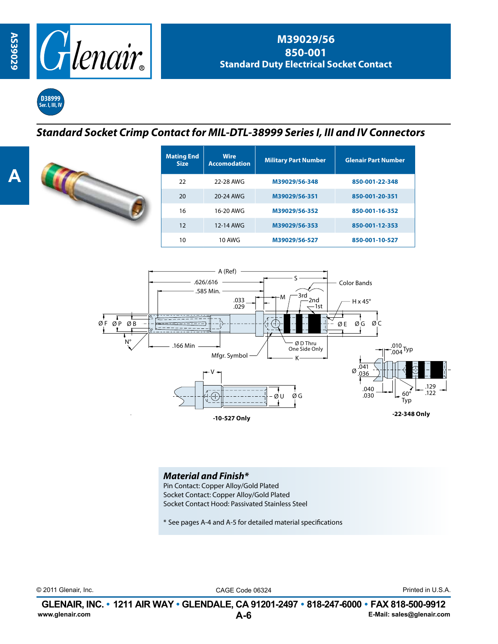



## *Standard Socket Crimp Contact for MIL-DTL-38999 Series I, III and IV Connectors*



| <b>Mating End</b><br><b>Size</b> | <b>Wire</b><br><b>Accomodation</b> | <b>Military Part Number</b> | <b>Glenair Part Number</b> |
|----------------------------------|------------------------------------|-----------------------------|----------------------------|
| 22                               | 22-28 AWG                          | M39029/56-348               | 850-001-22-348             |
| 20                               | 20-24 AWG                          | M39029/56-351               | 850-001-20-351             |
| 16                               | 16-20 AWG                          | M39029/56-352               | 850-001-16-352             |
| 12                               | 12-14 AWG                          | M39029/56-353               | 850-001-12-353             |
| 10                               | <b>10 AWG</b>                      | M39029/56-527               | 850-001-10-527             |



*Material and Finish\**

Pin Contact: Copper Alloy/Gold Plated Socket Contact: Copper Alloy/Gold Plated Socket Contact Hood: Passivated Stainless Steel

\* See pages A-4 and A-5 for detailed material specifications

© 2011 Glenair, Inc. CAGE Code 06324 Printed in U.S.A.

**A-6 GLENAIR, INC. • 1211 AIR WAY • GLENDALE, CA 91201-2497 • 818-247-6000 • FAX 818-500-9912**<br>E-Mail: sales@glenair.com **www.glenair.com E-Mail: sales@glenair.com**